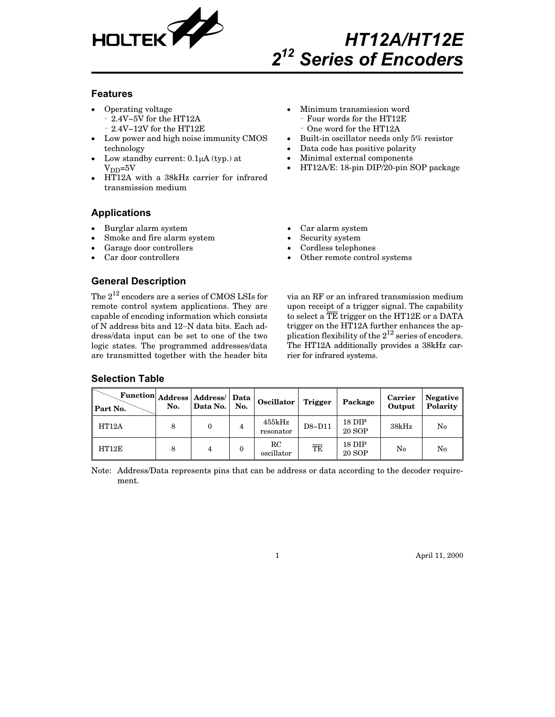

# *HT12A/HT12E 2<sup>12</sup> Series of Encoders*

#### **Features**

- $\bullet$  Operating voltage 2.4V~5V for the HT12A
	- 2.4V~12V for the HT12E
- Low power and high noise immunity CMOS technology
- $\bullet$ Low standby current:  $0.1\mu A$  (typ.) at  $V_{DD} = 5V$
- $\bullet$  HT12A with a 38kHz carrier for infrared transmission medium

### **Applications**

- $\bullet$ Burglar alarm system
- $\bullet$ Smoke and fire alarm system
- $\bullet$ Garage door controllers
- $\bullet$ Car door controllers

**General Description**

- Minimum transmission word Four words for the HT12E - One word for the HT12A
- $\bullet$ Built-in oscillator needs only 5% resistor
- $\bullet$ Data code has positive polarity
- $\bullet$ Minimal external components
- $\bullet$ HT12A/E: 18-pin DIP/20-pin SOP package
- $\bullet$ Car alarm system

 $\bullet$ 

- $\bullet$ Security system
- $\bullet$ Cordless telephones
- $\bullet$ Other remote control systems

The  $2^{12}$  encoders are a series of CMOS LSIs for remote control system applications. They are capable of encoding information which consists of N address bits and 12-N data bits. Each address/data input can be set to one of the two

logic states. The programmed addresses/data are transmitted together with the header bits

via an RF or an infrared transmission medium upon receipt of a trigger signal. The capability to select a TE trigger on the HT12E or a DATA trigger on the HT12A further enhances the application flexibility of the  $2^{12}$  series of encoders. The HT12A additionally provides a 38kHz carrier for infrared systems.

| Function   Address   Address/  <br>Part No. | No. | Data No. | Data<br>No. | Oscillator                | Trigger | Package                 | Carrier<br>Output | <b>Negative</b><br>Polarity |
|---------------------------------------------|-----|----------|-------------|---------------------------|---------|-------------------------|-------------------|-----------------------------|
| HT12A                                       | 8   | 0        | 4           | 455kHz<br>resonator       | D8~D11  | 18 DIP<br><b>20 SOP</b> | 38kHz             | No                          |
| HT12E                                       | 8   | 4        | 0           | $_{\rm RC}$<br>oscillator | TE      | 18 DIP<br><b>20 SOP</b> | No                | No                          |

Note: Address/Data represents pins that can be address or data according to the decoder requirement.

1 April 11, 2000

## **Selection Table**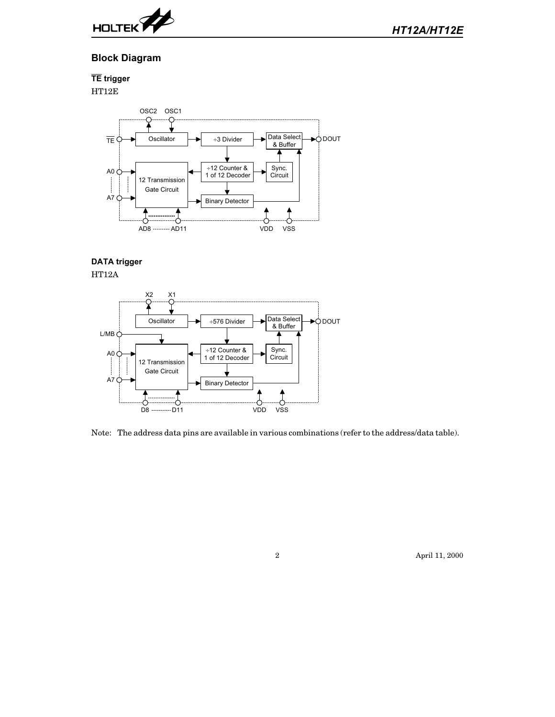

*HT12A/HT12E*

## **Block Diagram**

**TE trigger**

 $\operatorname{HT12E}$ 



#### **DATA trigger**

HT12A



Note: The address data pins are available in various combinations (refer to the address/data table).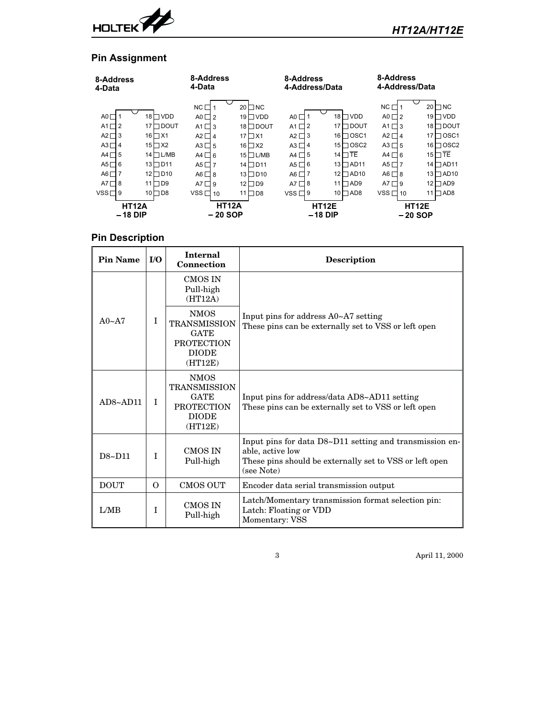

## **Pin Assignment**

| 8-Address<br>4-Data                                                                                                                                       |                                                                                                                                                               | 8-Address<br>4-Data                                                                                                                                         |                                                                                                                                                                    | 8-Address<br>4-Address/Data                                                                                                           |                                                                                                                                                                         | 8-Address<br>4-Address/Data                                                                                                                                         |                                                                                                                                                                         |  |  |
|-----------------------------------------------------------------------------------------------------------------------------------------------------------|---------------------------------------------------------------------------------------------------------------------------------------------------------------|-------------------------------------------------------------------------------------------------------------------------------------------------------------|--------------------------------------------------------------------------------------------------------------------------------------------------------------------|---------------------------------------------------------------------------------------------------------------------------------------|-------------------------------------------------------------------------------------------------------------------------------------------------------------------------|---------------------------------------------------------------------------------------------------------------------------------------------------------------------|-------------------------------------------------------------------------------------------------------------------------------------------------------------------------|--|--|
| A0 $\Box$<br>$\overline{2}$<br>A1 $\Box$<br>$A2\Box$<br>3<br>$A3\Box$<br>4<br>5<br>A4 $\Box$<br>6<br>$A5\Box$<br>AG<br>A7 $\sqcap$<br>8<br>$VSS\Box$<br>9 | 18 □ VDD<br>17 □DOUT<br>$16$ $\neg$ X1<br>$15 \square X2$<br>14 □ L/MB<br>$13$ $\Box$ $D11$<br>$12$ D <sub>10</sub><br>$\square$<br>11<br>$10$ D <sub>8</sub> | $NC \square$ 1<br>$AO \square$<br>$A1 \square 3$<br>$A2 \Box 4$<br>$A3 \Box 5$<br>$AA \Box 6$<br>$AS \Box 7$<br>$AG \Box 8$<br>$AT \Box 9$<br>$VSS \Box 10$ | $20$ O NC<br>$19 \Box$ VDD<br>$18$ $\Box$ DOUT<br>17 $\Box$ X1<br>$16$ $\Box$ X2<br>$15$ $L/MB$<br>14 □ D11<br>$13 \Box D10$<br>$12 \square D9$<br>11 $\square$ D8 | A0 $\Box$<br>A1 $\Box$ 2<br>$A2 \square$ 3<br>$A3\Box 4$<br>A4 $\Box$ 5<br>A5 $\Box$ 6<br>A6 $\Box$ 7<br>A7 $\sqcap$ 8<br>$VSS\Box 9$ | $18$ $\Box$ VDD<br>17<br>∩dout<br>$16 \square$ OSC1<br>15 $\Box$ OSC2<br>14 $\Box$ TE<br>$13 \square$ AD11<br>$12 \square$ AD10<br>$\Box$ AD9<br>11<br>$10 \square$ AD8 | $NC \square$ 1<br>$AO \square 2$<br>$A1 \square$ 3<br>$A2\Box 4$<br>$A3\Box 5$<br>$AA \Box 6$<br>A5 $\square$ 7<br>$AG \square$ 8<br>$AT \Box 9$<br>$VSS\Box$<br>10 | 20<br>$\Box$ NC<br>19 $\Box$ VDD<br>18 □ DOUT<br>⊟osc1<br>17<br>$16 \square$ OSC2<br>$15\Box$ TE<br>14 □ AD11<br>$13 \square$ AD10<br>$12 \square$ AD9<br>11 $\Box$ AD8 |  |  |
| <b>HT12A</b><br>$-18$ DIP                                                                                                                                 |                                                                                                                                                               | <b>HT12A</b><br>– 20 SOP                                                                                                                                    |                                                                                                                                                                    | -18 DIP                                                                                                                               | <b>HT12E</b>                                                                                                                                                            | -20 SOP                                                                                                                                                             | <b>HT12E</b>                                                                                                                                                            |  |  |

## **Pin Description**

| <b>Pin Name</b>   | I/O      | <b>Internal</b><br>Connection                                                                     | <b>Description</b>                                                                                                                                   |
|-------------------|----------|---------------------------------------------------------------------------------------------------|------------------------------------------------------------------------------------------------------------------------------------------------------|
|                   | I        | <b>CMOS IN</b><br>Pull-high<br>(HT12A)                                                            |                                                                                                                                                      |
| $A0 \sim A7$      |          | <b>NMOS</b><br><b>TRANSMISSION</b><br><b>GATE</b><br><b>PROTECTION</b><br><b>DIODE</b><br>(HT12E) | Input pins for address A0~A7 setting<br>These pins can be externally set to VSS or left open                                                         |
| $AD8~\sim$ $AD11$ | I        | <b>NMOS</b><br><b>TRANSMISSION</b><br><b>GATE</b><br><b>PROTECTION</b><br><b>DIODE</b><br>(HT12E) | Input pins for address/data AD8~AD11 setting<br>These pins can be externally set to VSS or left open                                                 |
| D8~D11            | T        | <b>CMOS IN</b><br>Pull-high                                                                       | Input pins for data D8~D11 setting and transmission en-<br>able, active low<br>These pins should be externally set to VSS or left open<br>(see Note) |
| <b>DOUT</b>       | $\Omega$ | <b>CMOS OUT</b>                                                                                   | Encoder data serial transmission output                                                                                                              |
| L/MB              | I        | CMOS IN<br>Pull-high                                                                              | Latch/Momentary transmission format selection pin:<br>Latch: Floating or VDD<br>Momentary: VSS                                                       |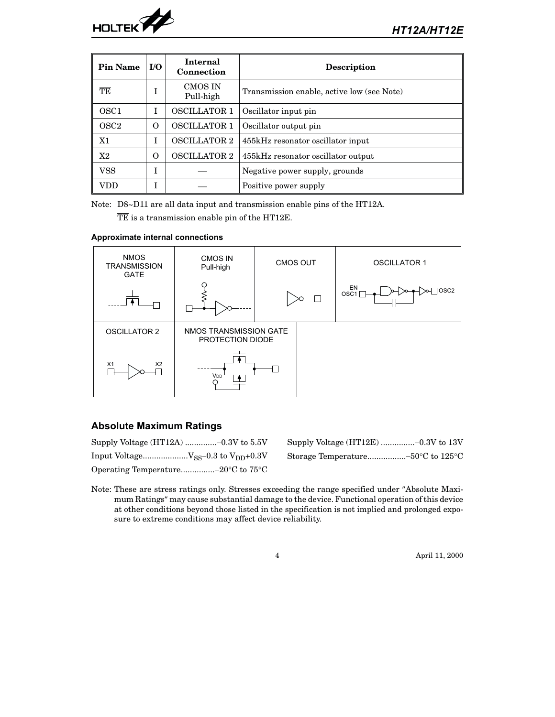

| Pin Name         | I/O | <b>Internal</b><br>Connection | <b>Description</b>                         |
|------------------|-----|-------------------------------|--------------------------------------------|
| TE               |     | <b>CMOS IN</b><br>Pull-high   | Transmission enable, active low (see Note) |
| OSC <sub>1</sub> | T   | <b>OSCILLATOR 1</b>           | Oscillator input pin                       |
| OSC <sub>2</sub> | O   | <b>OSCILLATOR 1</b>           | Oscillator output pin                      |
| X1               |     | <b>OSCILLATOR 2</b>           | 455kHz resonator oscillator input          |
| X2               | O   | <b>OSCILLATOR 2</b>           | 455kHz resonator oscillator output         |
| VSS              |     |                               | Negative power supply, grounds             |
| VDD              |     |                               | Positive power supply                      |

Note: D8~D11 are all data input and transmission enable pins of the HT12A.

TE is a transmission enable pin of the HT12E.

#### **Approximate internal connections**



## **Absolute Maximum Ratings**

| Supply Voltage $(HT12A)$ -0.3V to 5.5V                         |                                                               |
|----------------------------------------------------------------|---------------------------------------------------------------|
| Input Voltage $V_{SS}$ –0.3 to $V_{DD}$ +0.3V                  | Storage Temperature-50 $\rm ^{\circ}C$ to 125 $\rm ^{\circ}C$ |
| Operating Temperature-20 $\rm ^{\circ}C$ to 75 $\rm ^{\circ}C$ |                                                               |

| Supply Voltage $(HT12E)$ -0.3V to 13V                         |  |
|---------------------------------------------------------------|--|
| Storage Temperature-50 $\rm ^{\circ}C$ to 125 $\rm ^{\circ}C$ |  |

Note: These are stress ratings only. Stresses exceeding the range specified under "Absolute Maximum Ratings" may cause substantial damage to the device. Functional operation of this device at other conditions beyond those listed in the specification is not implied and prolonged exposure to extreme conditions may affect device reliability.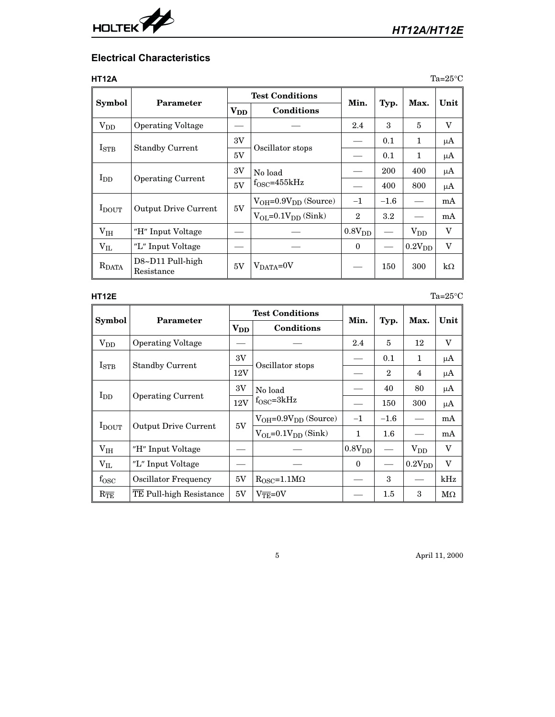

## **Electrical Characteristics**

| HT12A                 |                                |                   |                                |                |         |                    | $Ta=25^{\circ}\mathrm{C}$ |
|-----------------------|--------------------------------|-------------------|--------------------------------|----------------|---------|--------------------|---------------------------|
|                       |                                |                   | <b>Test Conditions</b>         |                |         |                    |                           |
| Symbol                | Parameter                      | $\mathbf{V_{DD}}$ | Conditions                     | Min.           | Typ.    | Max.               | Unit                      |
| <b>V<sub>DD</sub></b> | <b>Operating Voltage</b>       |                   |                                | 2.4            | 3       | 5                  | V                         |
|                       |                                | 3V                |                                |                | 0.1     | $\mathbf{1}$       | μA                        |
| $I_{\mathrm{STB}}$    | <b>Standby Current</b>         | 5V                | Oscillator stops               |                | 0.1     | $\mathbf 1$        | μA                        |
|                       |                                | 3V                | No load                        |                | 200     | 400                | $\mu A$                   |
| $I_{DD}$              | <b>Operating Current</b>       | 5V                | $f_{\rm OSC} = 455kHz$         |                | 400     | 800                | μA                        |
|                       |                                |                   | $V_{OH} = 0.9 V_{DD}$ (Source) | $-1$           | $-1.6$  |                    | mA                        |
| $I_{\rm DOUT}$        | <b>Output Drive Current</b>    | 5V                | $V_{OL} = 0.1 V_{DD}$ (Sink)   | $\overline{2}$ | $3.2\,$ |                    | mA                        |
| $V_{IH}$              | "H" Input Voltage              |                   |                                | $0.8V_{DD}$    |         | $V_{DD}$           | $\boldsymbol{\mathrm{V}}$ |
| $\rm V_{\rm IL}$      | "L" Input Voltage              |                   |                                | $\theta$       |         | 0.2V <sub>DD</sub> | V                         |
| $R_{DATA}$            | D8~D11 Pull-high<br>Resistance | 5V                | $V_{DATA}=0V$                  |                | 150     | 300                | $k\Omega$                 |

**HT12E** Ta=25 $^{\circ}$ C

|                         |                             |                    | <b>Test Conditions</b>          |              |                          |                    |           |
|-------------------------|-----------------------------|--------------------|---------------------------------|--------------|--------------------------|--------------------|-----------|
| <b>Symbol</b>           | Parameter                   | $\rm{V}_{\rm{DD}}$ | Conditions                      | Min.         | Typ.                     | Max.               | Unit      |
| $V_{DD}$                | <b>Operating Voltage</b>    |                    |                                 | 2.4          | 5                        | 12                 | V         |
|                         |                             | 3V                 |                                 |              | 0.1                      | $\mathbf 1$        | μA        |
| $I_{\mathrm{STB}}$      | <b>Standby Current</b>      | 12V                | Oscillator stops                |              | $\overline{2}$           | $\overline{4}$     | μA        |
|                         |                             |                    | No load                         |              | 40                       | 80                 | $\mu$ A   |
| $I_{DD}$                | <b>Operating Current</b>    | 12V                | $f_{\rm OSC} = 3kHz$            |              | 150                      | 300                | μA        |
|                         |                             | 5V                 | $V_{OH} = 0.9 V_{DD}$ (Source)  | $-1$         | $-1.6$                   |                    | mA        |
| $I_{\rm DOUT}$          | <b>Output Drive Current</b> |                    | $V_{OL} = 0.1 V_{DD}$ (Sink)    | $\mathbf{1}$ | $1.6\,$                  |                    | mA        |
| $\rm V_{IH}$            | "H" Input Voltage           |                    |                                 | $0.8V_{DD}$  | $\overline{\phantom{0}}$ | $V_{DD}$           | V         |
| $\rm V_{IL}$            | "L" Input Voltage           |                    |                                 | $\Omega$     |                          | 0.2V <sub>DD</sub> | V         |
| $f_{\rm{OSC}}$          | Oscillator Frequency        | 5V                 | $R_{\rm OSC} = 1.1 M\Omega$     |              | 3                        |                    | kHz       |
| $R_{\overline{\rm TE}}$ | TE Pull-high Resistance     | 5V                 | $V_{\overline{\text{TE}}} = 0V$ |              | 1.5                      | 3                  | $M\Omega$ |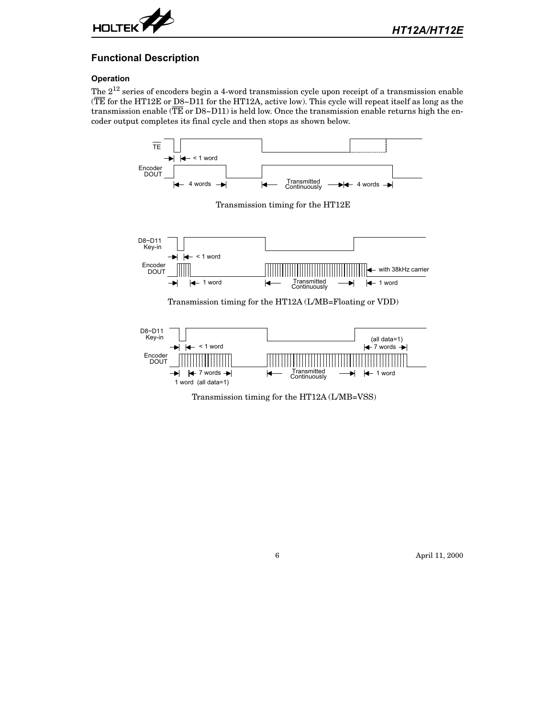

### **Functional Description**

#### **Operation**

The  $2^{12}$  series of encoders begin a 4-word transmission cycle upon receipt of a transmission enable (TE for the HT12E or D8~D11 for the HT12A, active low). This cycle will repeat itself as long as the transmission enable ( $\overline{\text{TE}}$  or D8~D11) is held low. Once the transmission enable returns high the encoder output completes its final cycle and then stops as shown below.



Transmission timing for the HT12E



Transmission timing for the HT12A (L/MB=Floating or VDD)



Transmission timing for the HT12A (L/MB=VSS)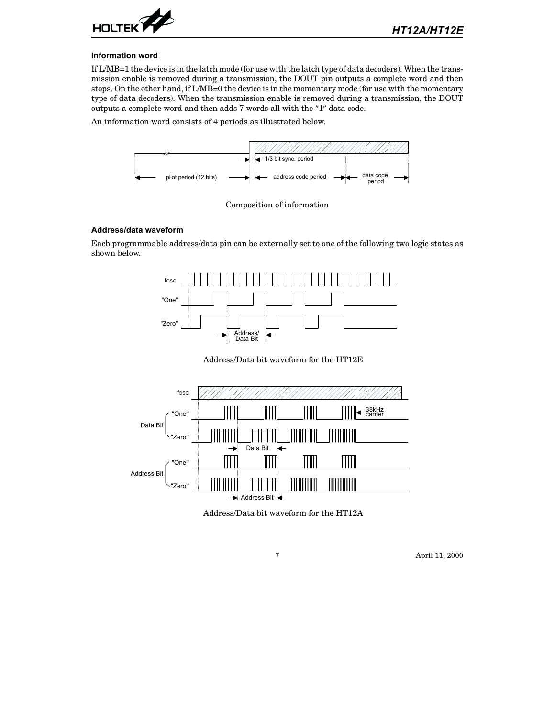

#### **Information word**

If L/MB=1 the device is in the latch mode (for use with the latch type of data decoders). When the transmission enable is removed during a transmission, the DOUT pin outputs a complete word and then stops. On the other hand, if L/MB=0 the device is in the momentary mode (for use with the momentary type of data decoders). When the transmission enable is removed during a transmission, the DOUT outputs a complete word and then adds 7 words all with the "1" data code.

An information word consists of 4 periods as illustrated below.



Composition of information

#### **Address/data waveform**

Each programmable address/data pin can be externally set to one of the following two logic states as shown below.



Address/Data bit waveform for the HT12E



Address/Data bit waveform for the HT12A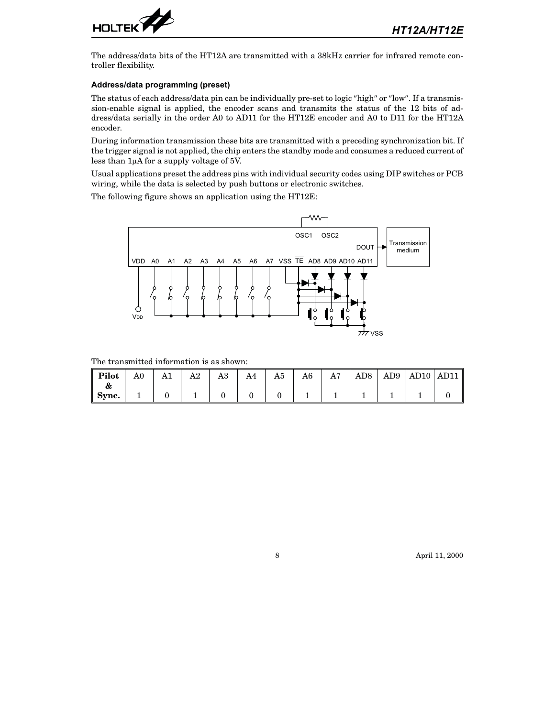

The address/data bits of the HT12A are transmitted with a 38kHz carrier for infrared remote controller flexibility.

#### **Address/data programming (preset)**

The status of each address/data pin can be individually pre-set to logic "high" or "low". If a transmission-enable signal is applied, the encoder scans and transmits the status of the 12 bits of address/data serially in the order A0 to AD11 for the HT12E encoder and A0 to D11 for the HT12A encoder.

During information transmission these bits are transmitted with a preceding synchronization bit. If the trigger signal is not applied, the chip enters the standby mode and consumes a reduced current of less than  $1\mu A$  for a supply voltage of 5V.

Usual applications preset the address pins with individual security codes using DIP switches or PCB wiring, while the data is selected by push buttons or electronic switches.

The following figure shows an application using the HT12E:



The transmitted information is as shown:

| $\parallel$ Pilot<br>œ | A0 | A1 | A2 | A3 | A4 | A5 | A6 | A7 | $\rm{AD8}$ |  | AD9   AD10   AD11 |
|------------------------|----|----|----|----|----|----|----|----|------------|--|-------------------|
| $\parallel$ Sync.      |    |    |    |    |    |    |    |    |            |  |                   |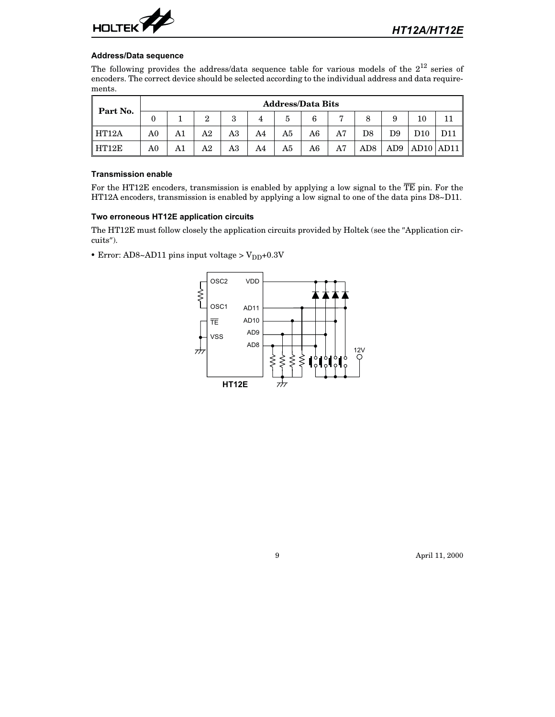

#### **Address/Data sequence**

The following provides the address/data sequence table for various models of the  $2^{12}$  series of encoders. The correct device should be selected according to the individual address and data requirements.

| Part No. |                | <b>Address/Data Bits</b> |    |              |    |    |    |    |                  |     |             |             |  |  |  |
|----------|----------------|--------------------------|----|--------------|----|----|----|----|------------------|-----|-------------|-------------|--|--|--|
|          |                |                          | റ  | $\mathbf{Q}$ |    | 5  | 6  | P  | 8                | 9   | 10          |             |  |  |  |
| HT12A    | A <sub>0</sub> | A1                       | A2 | A3           | A4 | A5 | A6 | A7 | $_{\mathrm{D8}}$ | D9  | ${\rm D}10$ |             |  |  |  |
| HT12E    | A0             | A1                       | A2 | A3           | A4 | A5 | A6 | A7 | AD8              | AD9 |             | AD10   AD11 |  |  |  |

#### **Transmission enable**

For the HT12E encoders, transmission is enabled by applying a low signal to the  $\overline{TE}$  pin. For the HT12A encoders, transmission is enabled by applying a low signal to one of the data pins D8~D11.

#### **Two erroneous HT12E application circuits**

The HT12E must follow closely the application circuits provided by Holtek (see the "Application circuits").

• Error: AD8~AD11 pins input voltage >  $\text{V}_{\text{DD}}$ +0.3V

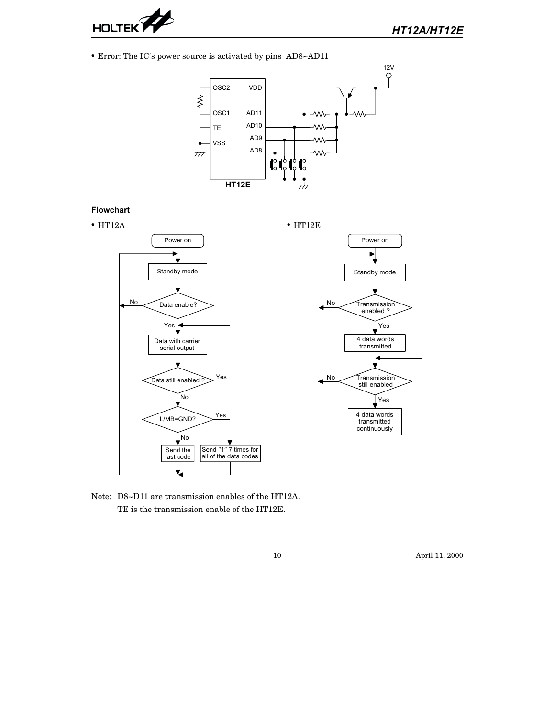

• Error: The IC's power source is activated by pins AD8~AD11



Note: D8~D11 are transmission enables of the HT12A. TE is the transmission enable of the HT12E.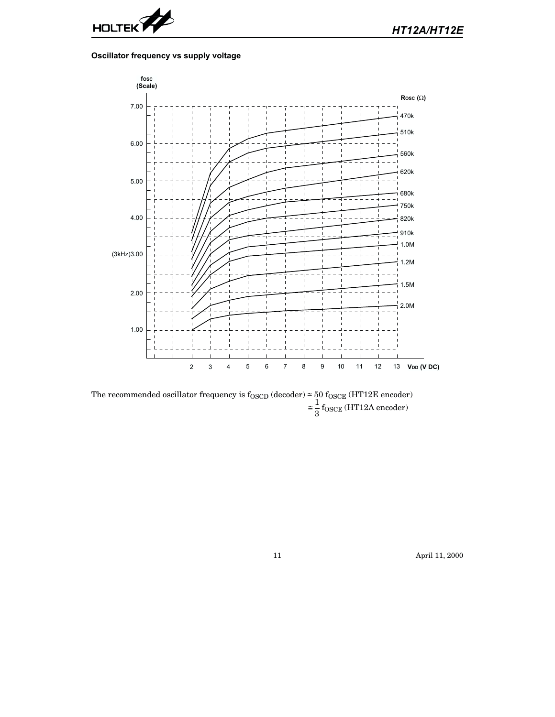

## **Oscillator frequency vs supply voltage**



The recommended oscillator frequency is  $f_{\rm OSCD}$  (decoder)  $\cong$   $50$   $f_{\rm OSCE}$  (HT12E encoder)  $\approx \frac{1}{2}$  $\frac{1}{3}$  f<sub>OSCE</sub> (HT12A encoder)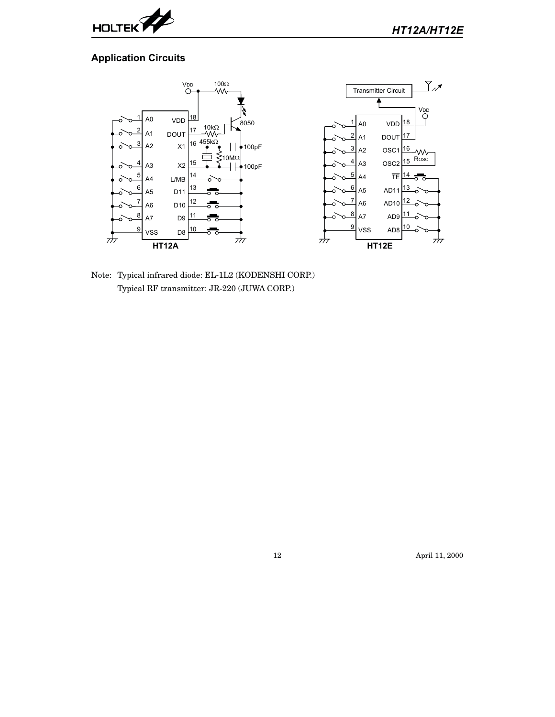

## **Application Circuits**



Note: Typical infrared diode: EL-1L2 (KODENSHI CORP.) Typical RF transmitter: JR-220 (JUWA CORP.)